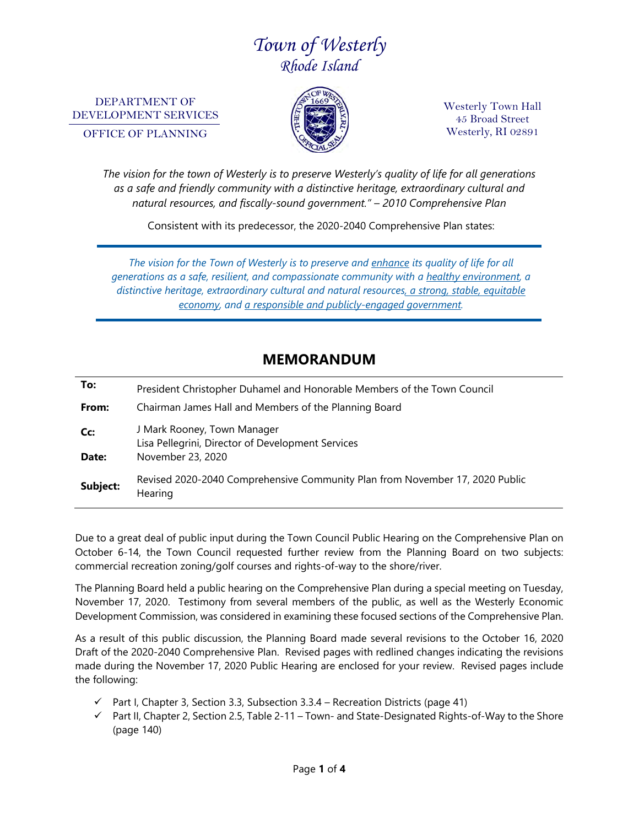# *Town of Westerly Rhode Island*

DEPARTMENT OF DEVELOPMENT SERVICES

OFFICE OF PLANNING



Westerly Town Hall 45 Broad Street Westerly, RI 02891

*The vision for the town of Westerly is to preserve Westerly's quality of life for all generations as a safe and friendly community with a distinctive heritage, extraordinary cultural and natural resources, and fiscally-sound government." – 2010 Comprehensive Plan* 

Consistent with its predecessor, the 2020-2040 Comprehensive Plan states:

*The vision for the Town of Westerly is to preserve and enhance its quality of life for all generations as a safe, resilient, and compassionate community with a healthy environment, a distinctive heritage, extraordinary cultural and natural resources, a strong, stable, equitable economy, and a responsible and publicly-engaged government.*

## **MEMORANDUM**

| To:<br>From: | President Christopher Duhamel and Honorable Members of the Town Council<br>Chairman James Hall and Members of the Planning Board |
|--------------|----------------------------------------------------------------------------------------------------------------------------------|
| Cc:<br>Date: | J Mark Rooney, Town Manager<br>Lisa Pellegrini, Director of Development Services<br>November 23, 2020                            |
| Subject:     | Revised 2020-2040 Comprehensive Community Plan from November 17, 2020 Public<br>Hearing                                          |

Due to a great deal of public input during the Town Council Public Hearing on the Comprehensive Plan on October 6-14, the Town Council requested further review from the Planning Board on two subjects: commercial recreation zoning/golf courses and rights-of-way to the shore/river.

The Planning Board held a public hearing on the Comprehensive Plan during a special meeting on Tuesday, November 17, 2020. Testimony from several members of the public, as well as the Westerly Economic Development Commission, was considered in examining these focused sections of the Comprehensive Plan.

As a result of this public discussion, the Planning Board made several revisions to the October 16, 2020 Draft of the 2020-2040 Comprehensive Plan. Revised pages with redlined changes indicating the revisions made during the November 17, 2020 Public Hearing are enclosed for your review. Revised pages include the following:

- $\checkmark$  Part I, Chapter 3, Section 3.3, Subsection 3.3.4 Recreation Districts (page 41)
- $\checkmark$  Part II, Chapter 2, Section 2.5, Table 2-11 Town- and State-Designated Rights-of-Way to the Shore (page 140)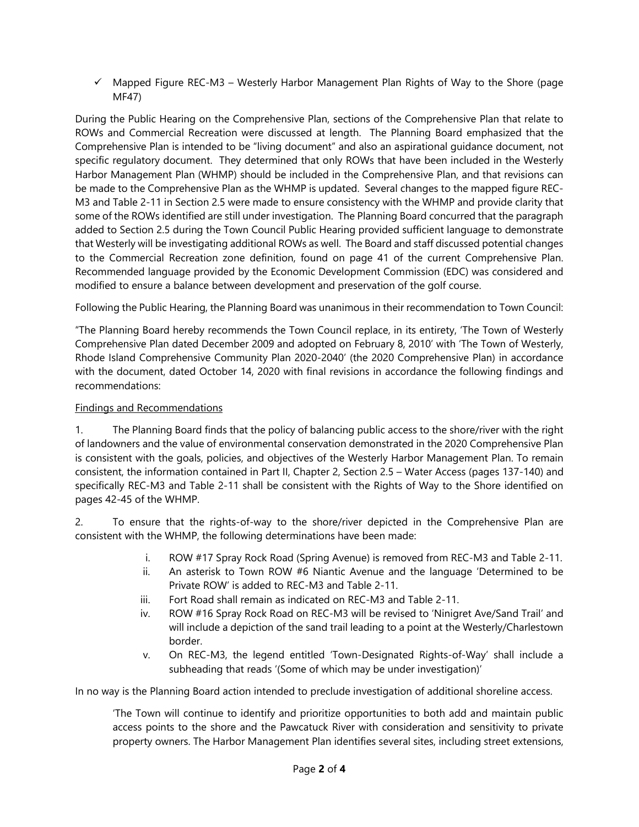$\checkmark$  Mapped Figure REC-M3 – Westerly Harbor Management Plan Rights of Way to the Shore (page MF47)

During the Public Hearing on the Comprehensive Plan, sections of the Comprehensive Plan that relate to ROWs and Commercial Recreation were discussed at length. The Planning Board emphasized that the Comprehensive Plan is intended to be "living document" and also an aspirational guidance document, not specific regulatory document. They determined that only ROWs that have been included in the Westerly Harbor Management Plan (WHMP) should be included in the Comprehensive Plan, and that revisions can be made to the Comprehensive Plan as the WHMP is updated. Several changes to the mapped figure REC-M3 and Table 2-11 in Section 2.5 were made to ensure consistency with the WHMP and provide clarity that some of the ROWs identified are still under investigation. The Planning Board concurred that the paragraph added to Section 2.5 during the Town Council Public Hearing provided sufficient language to demonstrate that Westerly will be investigating additional ROWs as well. The Board and staff discussed potential changes to the Commercial Recreation zone definition, found on page 41 of the current Comprehensive Plan. Recommended language provided by the Economic Development Commission (EDC) was considered and modified to ensure a balance between development and preservation of the golf course.

Following the Public Hearing, the Planning Board was unanimous in their recommendation to Town Council:

"The Planning Board hereby recommends the Town Council replace, in its entirety, 'The Town of Westerly Comprehensive Plan dated December 2009 and adopted on February 8, 2010' with 'The Town of Westerly, Rhode Island Comprehensive Community Plan 2020-2040' (the 2020 Comprehensive Plan) in accordance with the document, dated October 14, 2020 with final revisions in accordance the following findings and recommendations:

### Findings and Recommendations

1. The Planning Board finds that the policy of balancing public access to the shore/river with the right of landowners and the value of environmental conservation demonstrated in the 2020 Comprehensive Plan is consistent with the goals, policies, and objectives of the Westerly Harbor Management Plan. To remain consistent, the information contained in Part II, Chapter 2, Section 2.5 – Water Access (pages 137-140) and specifically REC-M3 and Table 2-11 shall be consistent with the Rights of Way to the Shore identified on pages 42-45 of the WHMP.

2. To ensure that the rights-of-way to the shore/river depicted in the Comprehensive Plan are consistent with the WHMP, the following determinations have been made:

- i. ROW #17 Spray Rock Road (Spring Avenue) is removed from REC-M3 and Table 2-11.
- ii. An asterisk to Town ROW #6 Niantic Avenue and the language 'Determined to be Private ROW' is added to REC-M3 and Table 2-11.
- iii. Fort Road shall remain as indicated on REC-M3 and Table 2-11.
- iv. ROW #16 Spray Rock Road on REC-M3 will be revised to 'Ninigret Ave/Sand Trail' and will include a depiction of the sand trail leading to a point at the Westerly/Charlestown border.
- v. On REC-M3, the legend entitled 'Town-Designated Rights-of-Way' shall include a subheading that reads '(Some of which may be under investigation)'

In no way is the Planning Board action intended to preclude investigation of additional shoreline access.

'The Town will continue to identify and prioritize opportunities to both add and maintain public access points to the shore and the Pawcatuck River with consideration and sensitivity to private property owners. The Harbor Management Plan identifies several sites, including street extensions,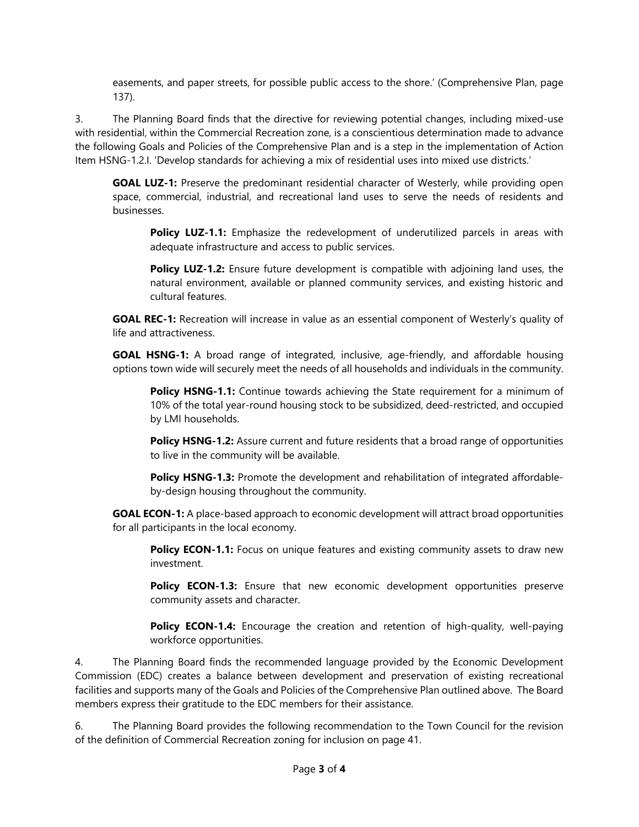easements, and paper streets, for possible public access to the shore.' (Comprehensive Plan, page 137).

3. The Planning Board finds that the directive for reviewing potential changes, including mixed-use with residential, within the Commercial Recreation zone, is a conscientious determination made to advance the following Goals and Policies of the Comprehensive Plan and is a step in the implementation of Action Item HSNG-1.2.I. 'Develop standards for achieving a mix of residential uses into mixed use districts.'

**GOAL LUZ-1:** Preserve the predominant residential character of Westerly, while providing open space, commercial, industrial, and recreational land uses to serve the needs of residents and businesses.

Policy LUZ-1.1: Emphasize the redevelopment of underutilized parcels in areas with adequate infrastructure and access to public services.

**Policy LUZ-1.2:** Ensure future development is compatible with adjoining land uses, the natural environment, available or planned community services, and existing historic and cultural features.

**GOAL REC-1:** Recreation will increase in value as an essential component of Westerly's quality of life and attractiveness.

**GOAL HSNG-1:** A broad range of integrated, inclusive, age-friendly, and affordable housing options town wide will securely meet the needs of all households and individuals in the community.

**Policy HSNG-1.1:** Continue towards achieving the State requirement for a minimum of 10% of the total year-round housing stock to be subsidized, deed-restricted, and occupied by LMI households.

**Policy HSNG-1.2:** Assure current and future residents that a broad range of opportunities to live in the community will be available.

**Policy HSNG-1.3:** Promote the development and rehabilitation of integrated affordableby-design housing throughout the community.

**GOAL ECON-1:** A place-based approach to economic development will attract broad opportunities for all participants in the local economy.

**Policy ECON-1.1:** Focus on unique features and existing community assets to draw new investment.

**Policy ECON-1.3:** Ensure that new economic development opportunities preserve community assets and character.

**Policy ECON-1.4:** Encourage the creation and retention of high-quality, well-paying workforce opportunities.

4. The Planning Board finds the recommended language provided by the Economic Development Commission (EDC) creates a balance between development and preservation of existing recreational facilities and supports many of the Goals and Policies of the Comprehensive Plan outlined above. The Board members express their gratitude to the EDC members for their assistance.

6. The Planning Board provides the following recommendation to the Town Council for the revision of the definition of Commercial Recreation zoning for inclusion on page 41.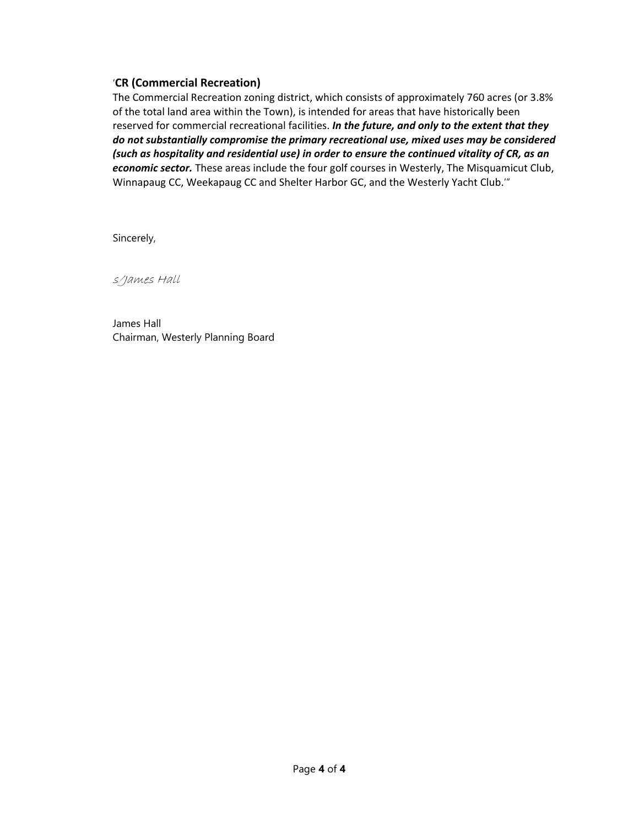### '**CR (Commercial Recreation)**

The Commercial Recreation zoning district, which consists of approximately 760 acres (or 3.8% of the total land area within the Town), is intended for areas that have historically been reserved for commercial recreational facilities. *In the future, and only to the extent that they do not substantially compromise the primary recreational use, mixed uses may be considered (such as hospitality and residential use) in order to ensure the continued vitality of CR, as an economic sector.* These areas include the four golf courses in Westerly, The Misquamicut Club, Winnapaug CC, Weekapaug CC and Shelter Harbor GC, and the Westerly Yacht Club.'"

Sincerely,

s/James Hall

James Hall Chairman, Westerly Planning Board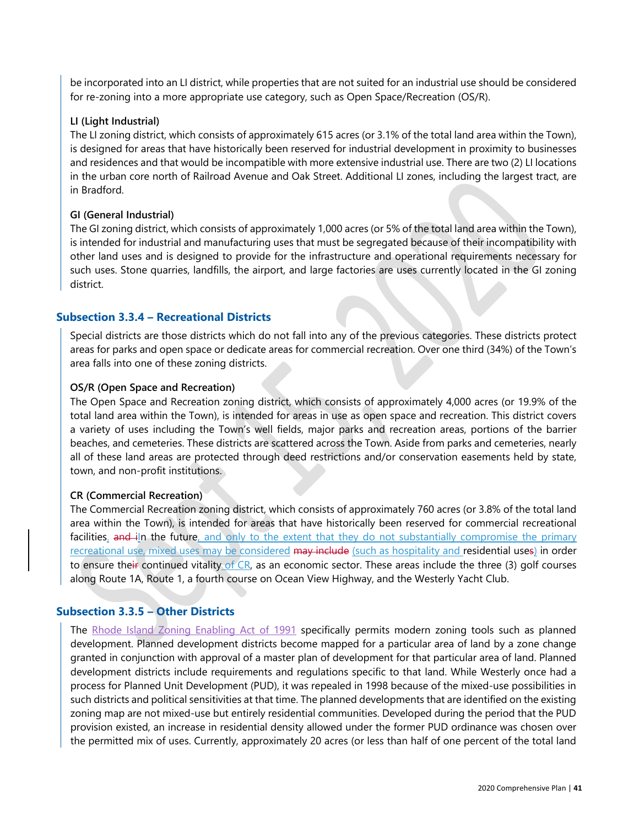be incorporated into an LI district, while properties that are not suited for an industrial use should be considered for re-zoning into a more appropriate use category, such as Open Space/Recreation (OS/R).

#### **LI (Light Industrial)**

The LI zoning district, which consists of approximately 615 acres (or 3.1% of the total land area within the Town), is designed for areas that have historically been reserved for industrial development in proximity to businesses and residences and that would be incompatible with more extensive industrial use. There are two (2) LI locations in the urban core north of Railroad Avenue and Oak Street. Additional LI zones, including the largest tract, are in Bradford.

#### **GI (General Industrial)**

The GI zoning district, which consists of approximately 1,000 acres (or 5% of the total land area within the Town), is intended for industrial and manufacturing uses that must be segregated because of their incompatibility with other land uses and is designed to provide for the infrastructure and operational requirements necessary for such uses. Stone quarries, landfills, the airport, and large factories are uses currently located in the GI zoning district.

#### **Subsection 3.3.4 – Recreational Districts**

Special districts are those districts which do not fall into any of the previous categories. These districts protect areas for parks and open space or dedicate areas for commercial recreation. Over one third (34%) of the Town's area falls into one of these zoning districts.

#### **OS/R (Open Space and Recreation)**

The Open Space and Recreation zoning district, which consists of approximately 4,000 acres (or 19.9% of the total land area within the Town), is intended for areas in use as open space and recreation. This district covers a variety of uses including the Town's well fields, major parks and recreation areas, portions of the barrier beaches, and cemeteries. These districts are scattered across the Town. Aside from parks and cemeteries, nearly all of these land areas are protected through deed restrictions and/or conservation easements held by state, town, and non-profit institutions.

#### **CR (Commercial Recreation)**

The Commercial Recreation zoning district, which consists of approximately 760 acres (or 3.8% of the total land area within the Town), is intended for areas that have historically been reserved for commercial recreational facilities, and i<sub>l</sub>n the future, and only to the extent that they do not substantially compromise the primary recreational use, mixed uses may be considered may include (such as hospitality and residential uses) in order to ensure their continued vitality of CR, as an economic sector. These areas include the three (3) golf courses along Route 1A, Route 1, a fourth course on Ocean View Highway, and the Westerly Yacht Club.

#### **Subsection 3.3.5 – Other Districts**

The Rhode Island Zoning Enabling Act of 1991 specifically permits modern zoning tools such as planned development. Planned development districts become mapped for a particular area of land by a zone change granted in conjunction with approval of a master plan of development for that particular area of land. Planned development districts include requirements and regulations specific to that land. While Westerly once had a process for Planned Unit Development (PUD), it was repealed in 1998 because of the mixed-use possibilities in such districts and political sensitivities at that time. The planned developments that are identified on the existing zoning map are not mixed-use but entirely residential communities. Developed during the period that the PUD provision existed, an increase in residential density allowed under the former PUD ordinance was chosen over the permitted mix of uses. Currently, approximately 20 acres (or less than half of one percent of the total land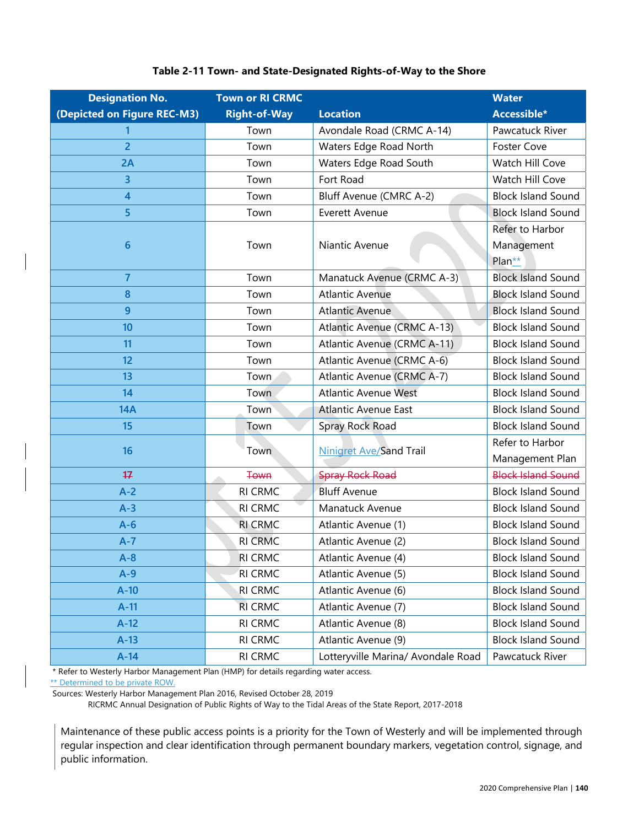| <b>Designation No.</b>      | <b>Town or RI CRMC</b> |                                    | <b>Water</b>                            |
|-----------------------------|------------------------|------------------------------------|-----------------------------------------|
| (Depicted on Figure REC-M3) | <b>Right-of-Way</b>    | <b>Location</b>                    | Accessible*                             |
|                             | Town                   | Avondale Road (CRMC A-14)          | Pawcatuck River                         |
| $\overline{2}$              | Town                   | Waters Edge Road North             | <b>Foster Cove</b>                      |
| 2A                          | Town                   | Waters Edge Road South             | Watch Hill Cove                         |
| 3                           | Town                   | Fort Road                          | Watch Hill Cove                         |
| $\overline{4}$              | Town                   | Bluff Avenue (CMRC A-2)            | <b>Block Island Sound</b>               |
| 5                           | Town                   | Everett Avenue                     | <b>Block Island Sound</b>               |
| 6                           | Town                   | Niantic Avenue                     | Refer to Harbor<br>Management<br>Plan** |
| 7                           | Town                   | Manatuck Avenue (CRMC A-3)         | <b>Block Island Sound</b>               |
| 8                           | Town                   | <b>Atlantic Avenue</b>             | <b>Block Island Sound</b>               |
| 9                           | Town                   | <b>Atlantic Avenue</b>             | <b>Block Island Sound</b>               |
| 10                          | Town                   | Atlantic Avenue (CRMC A-13)        | <b>Block Island Sound</b>               |
| 11                          | Town                   | Atlantic Avenue (CRMC A-11)        | <b>Block Island Sound</b>               |
| 12                          | Town                   | Atlantic Avenue (CRMC A-6)         | <b>Block Island Sound</b>               |
| 13                          | Town                   | Atlantic Avenue (CRMC A-7)         | <b>Block Island Sound</b>               |
| 14                          | Town                   | <b>Atlantic Avenue West</b>        | <b>Block Island Sound</b>               |
| <b>14A</b>                  | Town                   | <b>Atlantic Avenue East</b>        | <b>Block Island Sound</b>               |
| 15                          | Town                   | Spray Rock Road                    | <b>Block Island Sound</b>               |
| 16                          | Town                   | <b>Ninigret Ave/Sand Trail</b>     | Refer to Harbor<br>Management Plan      |
| $+7$                        | Town                   | <b>Spray Rock Road</b>             | <b>Block Island Sound</b>               |
| $A-2$                       | RI CRMC                | <b>Bluff Avenue</b>                | <b>Block Island Sound</b>               |
| $A-3$                       | RI CRMC                | Manatuck Avenue                    | <b>Block Island Sound</b>               |
| $A-6$                       | <b>RI CRMC</b>         | Atlantic Avenue (1)                | <b>Block Island Sound</b>               |
| $A - 7$                     | <b>RI CRMC</b>         | Atlantic Avenue (2)                | <b>Block Island Sound</b>               |
| $A-8$                       | RI CRMC                | Atlantic Avenue (4)                | <b>Block Island Sound</b>               |
| $A-9$                       | <b>RI CRMC</b>         | Atlantic Avenue (5)                | <b>Block Island Sound</b>               |
| $A-10$                      | RI CRMC                | Atlantic Avenue (6)                | <b>Block Island Sound</b>               |
| $A-11$                      | RI CRMC                | Atlantic Avenue (7)                | <b>Block Island Sound</b>               |
| $A-12$                      | RI CRMC                | Atlantic Avenue (8)                | <b>Block Island Sound</b>               |
| $A-13$                      | RI CRMC                | Atlantic Avenue (9)                | <b>Block Island Sound</b>               |
| $A-14$                      | RI CRMC                | Lotteryville Marina/ Avondale Road | Pawcatuck River                         |

#### **Table 2-11 Town- and State-Designated Rights-of-Way to the Shore**

\* Refer to Westerly Harbor Management Plan (HMP) for details regarding water access.

\*\* Determined to be private ROW.

Sources: Westerly Harbor Management Plan 2016, Revised October 28, 2019

RICRMC Annual Designation of Public Rights of Way to the Tidal Areas of the State Report, 2017-2018

Maintenance of these public access points is a priority for the Town of Westerly and will be implemented through regular inspection and clear identification through permanent boundary markers, vegetation control, signage, and public information.